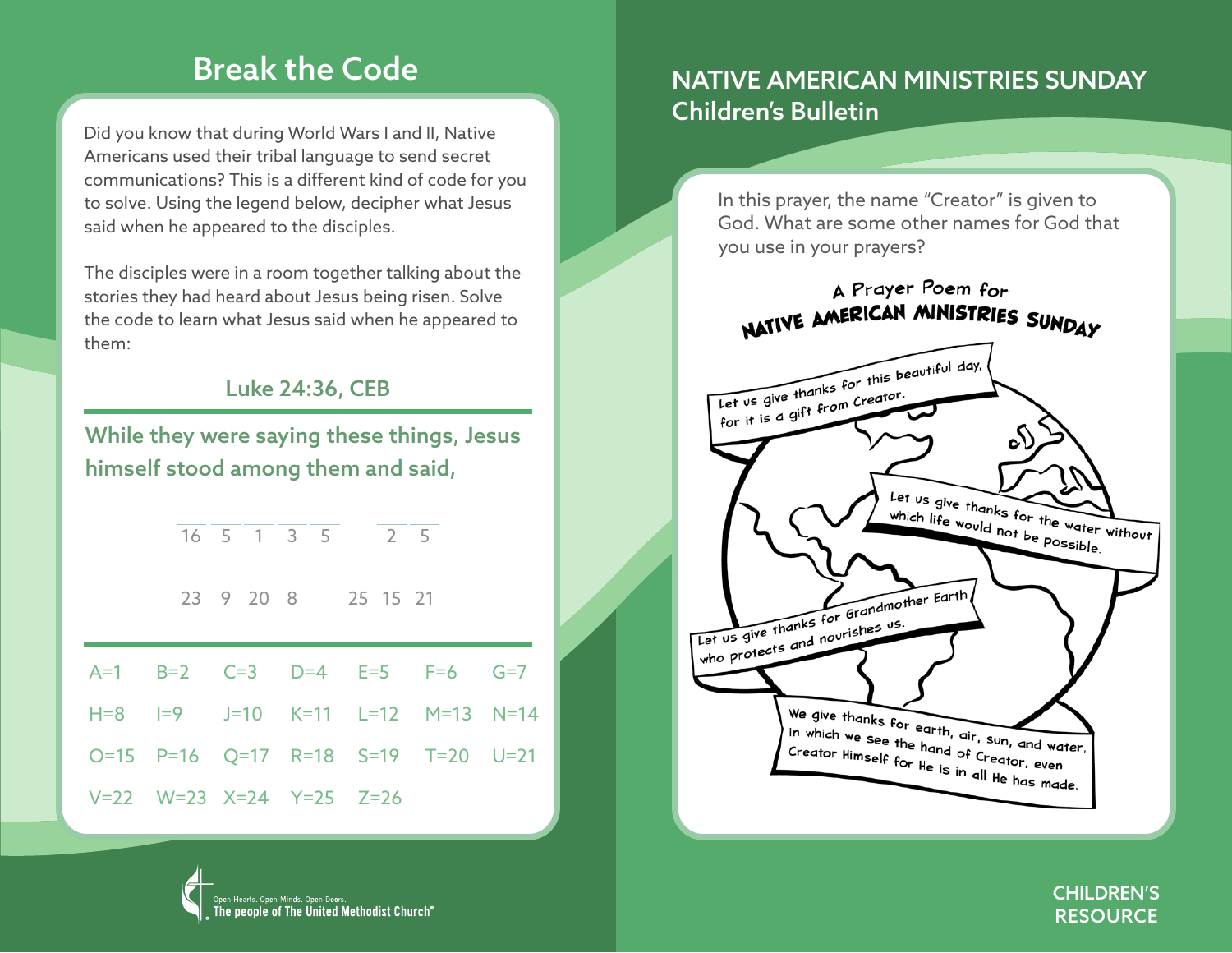### Break the Code

Did you know that during World Wars I and II, Native Americans used their tribal language to send secret communications? This is a different kind of code for you to solve. Using the legend below, decipher what Jesus said when he appeared to the disciples.

The disciples were in a room together talking about the stories they had heard about Jesus being risen. Solve the code to learn what Jesus said when he appeared to them:

#### Luke 24:36, CEB

While they were saying these things, Jesus himself stood among them and said,

|                          |  | 16 5 1 3 5 2 5                   |  |  |  |  |
|--------------------------|--|----------------------------------|--|--|--|--|
|                          |  | 23 9 20 8 25 15 21               |  |  |  |  |
|                          |  | A=1 B=2 C=3 D=4 E=5 F=6 G=7      |  |  |  |  |
|                          |  | H=8 I=9 J=10 K=11 L=12 M=13 N=14 |  |  |  |  |
|                          |  |                                  |  |  |  |  |
| V=22 W=23 X=24 Y=25 Z=26 |  |                                  |  |  |  |  |

### NATIVE AMERICAN MINISTRIES SUNDAY Children's Bulletin

In this prayer, the name "Creator" is given to God. What are some other names for God that you use in your prayers?





CHILDREN'S **RESOURCE**